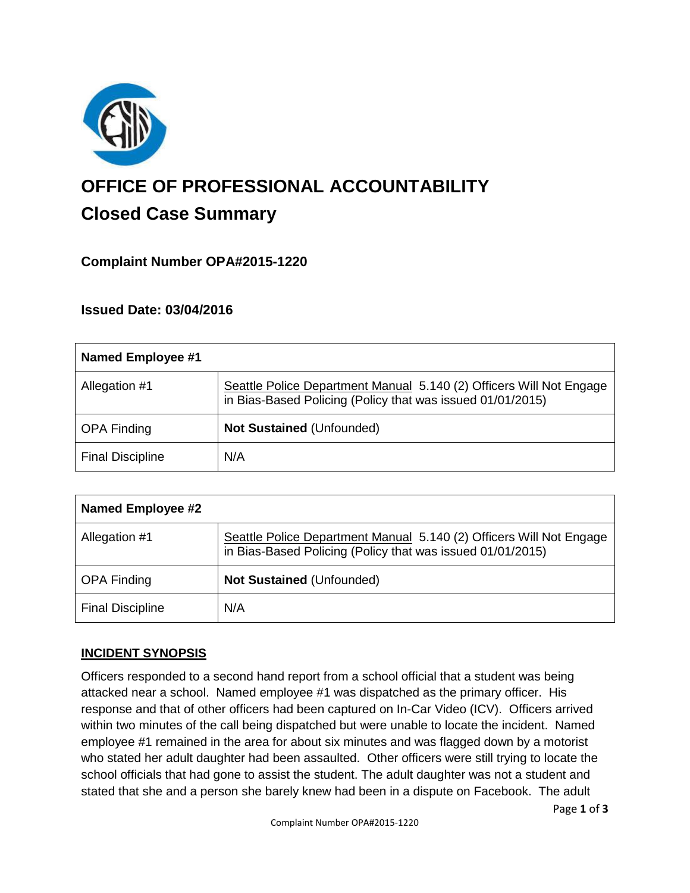

# **OFFICE OF PROFESSIONAL ACCOUNTABILITY Closed Case Summary**

# **Complaint Number OPA#2015-1220**

## **Issued Date: 03/04/2016**

| Named Employee #1       |                                                                                                                                   |
|-------------------------|-----------------------------------------------------------------------------------------------------------------------------------|
| Allegation #1           | Seattle Police Department Manual 5.140 (2) Officers Will Not Engage<br>in Bias-Based Policing (Policy that was issued 01/01/2015) |
| <b>OPA Finding</b>      | <b>Not Sustained (Unfounded)</b>                                                                                                  |
| <b>Final Discipline</b> | N/A                                                                                                                               |

| <b>Named Employee #2</b> |                                                                                                                                   |
|--------------------------|-----------------------------------------------------------------------------------------------------------------------------------|
| Allegation #1            | Seattle Police Department Manual 5.140 (2) Officers Will Not Engage<br>in Bias-Based Policing (Policy that was issued 01/01/2015) |
| <b>OPA Finding</b>       | <b>Not Sustained (Unfounded)</b>                                                                                                  |
| <b>Final Discipline</b>  | N/A                                                                                                                               |

## **INCIDENT SYNOPSIS**

Officers responded to a second hand report from a school official that a student was being attacked near a school. Named employee #1 was dispatched as the primary officer. His response and that of other officers had been captured on In-Car Video (ICV). Officers arrived within two minutes of the call being dispatched but were unable to locate the incident. Named employee #1 remained in the area for about six minutes and was flagged down by a motorist who stated her adult daughter had been assaulted. Other officers were still trying to locate the school officials that had gone to assist the student. The adult daughter was not a student and stated that she and a person she barely knew had been in a dispute on Facebook. The adult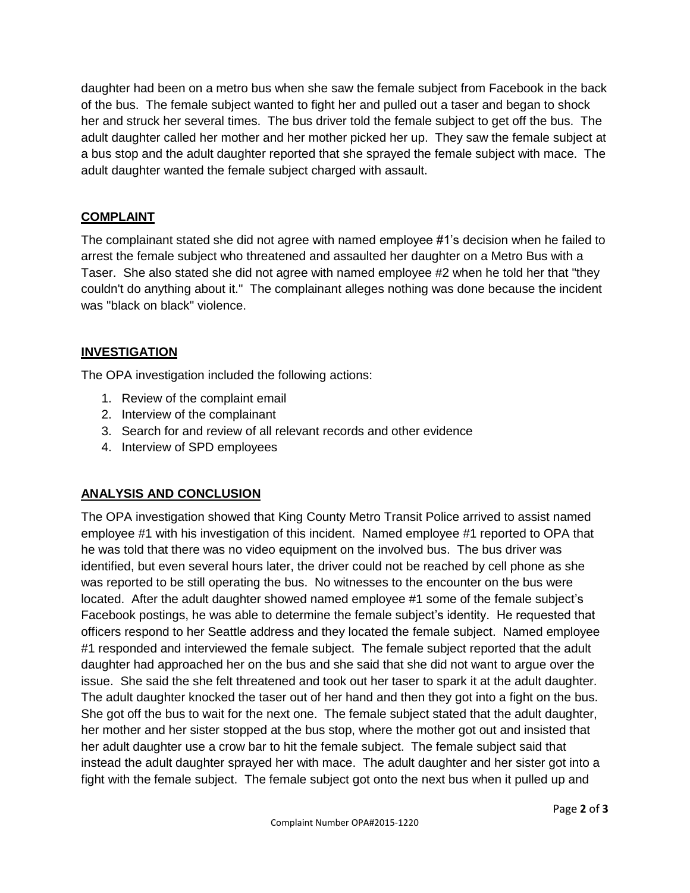daughter had been on a metro bus when she saw the female subject from Facebook in the back of the bus. The female subject wanted to fight her and pulled out a taser and began to shock her and struck her several times. The bus driver told the female subject to get off the bus. The adult daughter called her mother and her mother picked her up. They saw the female subject at a bus stop and the adult daughter reported that she sprayed the female subject with mace. The adult daughter wanted the female subject charged with assault.

# **COMPLAINT**

The complainant stated she did not agree with named employee #1's decision when he failed to arrest the female subject who threatened and assaulted her daughter on a Metro Bus with a Taser. She also stated she did not agree with named employee #2 when he told her that "they couldn't do anything about it." The complainant alleges nothing was done because the incident was "black on black" violence.

# **INVESTIGATION**

The OPA investigation included the following actions:

- 1. Review of the complaint email
- 2. Interview of the complainant
- 3. Search for and review of all relevant records and other evidence
- 4. Interview of SPD employees

# **ANALYSIS AND CONCLUSION**

The OPA investigation showed that King County Metro Transit Police arrived to assist named employee #1 with his investigation of this incident. Named employee #1 reported to OPA that he was told that there was no video equipment on the involved bus. The bus driver was identified, but even several hours later, the driver could not be reached by cell phone as she was reported to be still operating the bus. No witnesses to the encounter on the bus were located. After the adult daughter showed named employee #1 some of the female subject's Facebook postings, he was able to determine the female subject's identity. He requested that officers respond to her Seattle address and they located the female subject. Named employee #1 responded and interviewed the female subject. The female subject reported that the adult daughter had approached her on the bus and she said that she did not want to argue over the issue. She said the she felt threatened and took out her taser to spark it at the adult daughter. The adult daughter knocked the taser out of her hand and then they got into a fight on the bus. She got off the bus to wait for the next one. The female subject stated that the adult daughter, her mother and her sister stopped at the bus stop, where the mother got out and insisted that her adult daughter use a crow bar to hit the female subject. The female subject said that instead the adult daughter sprayed her with mace. The adult daughter and her sister got into a fight with the female subject. The female subject got onto the next bus when it pulled up and